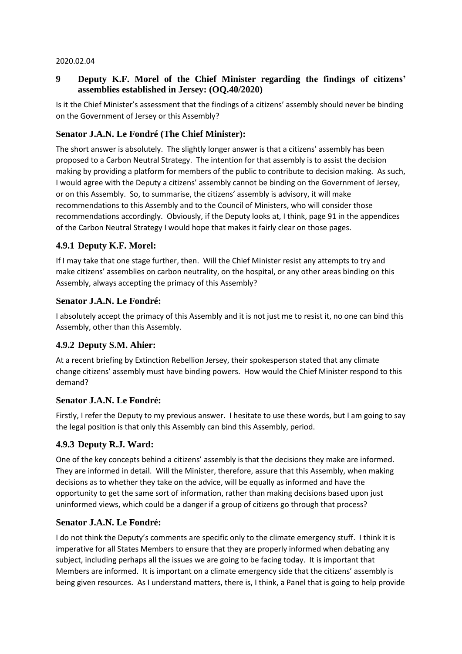#### 2020.02.04

## **9 Deputy K.F. Morel of the Chief Minister regarding the findings of citizens' assemblies established in Jersey: (OQ.40/2020)**

Is it the Chief Minister's assessment that the findings of a citizens' assembly should never be binding on the Government of Jersey or this Assembly?

## **Senator J.A.N. Le Fondré (The Chief Minister):**

The short answer is absolutely. The slightly longer answer is that a citizens' assembly has been proposed to a Carbon Neutral Strategy. The intention for that assembly is to assist the decision making by providing a platform for members of the public to contribute to decision making. As such, I would agree with the Deputy a citizens' assembly cannot be binding on the Government of Jersey, or on this Assembly. So, to summarise, the citizens' assembly is advisory, it will make recommendations to this Assembly and to the Council of Ministers, who will consider those recommendations accordingly. Obviously, if the Deputy looks at, I think, page 91 in the appendices of the Carbon Neutral Strategy I would hope that makes it fairly clear on those pages.

## **4.9.1 Deputy K.F. Morel:**

If I may take that one stage further, then. Will the Chief Minister resist any attempts to try and make citizens' assemblies on carbon neutrality, on the hospital, or any other areas binding on this Assembly, always accepting the primacy of this Assembly?

### **Senator J.A.N. Le Fondré:**

I absolutely accept the primacy of this Assembly and it is not just me to resist it, no one can bind this Assembly, other than this Assembly.

## **4.9.2 Deputy S.M. Ahier:**

At a recent briefing by Extinction Rebellion Jersey, their spokesperson stated that any climate change citizens' assembly must have binding powers. How would the Chief Minister respond to this demand?

#### **Senator J.A.N. Le Fondré:**

Firstly, I refer the Deputy to my previous answer. I hesitate to use these words, but I am going to say the legal position is that only this Assembly can bind this Assembly, period.

#### **4.9.3 Deputy R.J. Ward:**

One of the key concepts behind a citizens' assembly is that the decisions they make are informed. They are informed in detail. Will the Minister, therefore, assure that this Assembly, when making decisions as to whether they take on the advice, will be equally as informed and have the opportunity to get the same sort of information, rather than making decisions based upon just uninformed views, which could be a danger if a group of citizens go through that process?

## **Senator J.A.N. Le Fondré:**

I do not think the Deputy's comments are specific only to the climate emergency stuff. I think it is imperative for all States Members to ensure that they are properly informed when debating any subject, including perhaps all the issues we are going to be facing today. It is important that Members are informed. It is important on a climate emergency side that the citizens' assembly is being given resources. As I understand matters, there is, I think, a Panel that is going to help provide